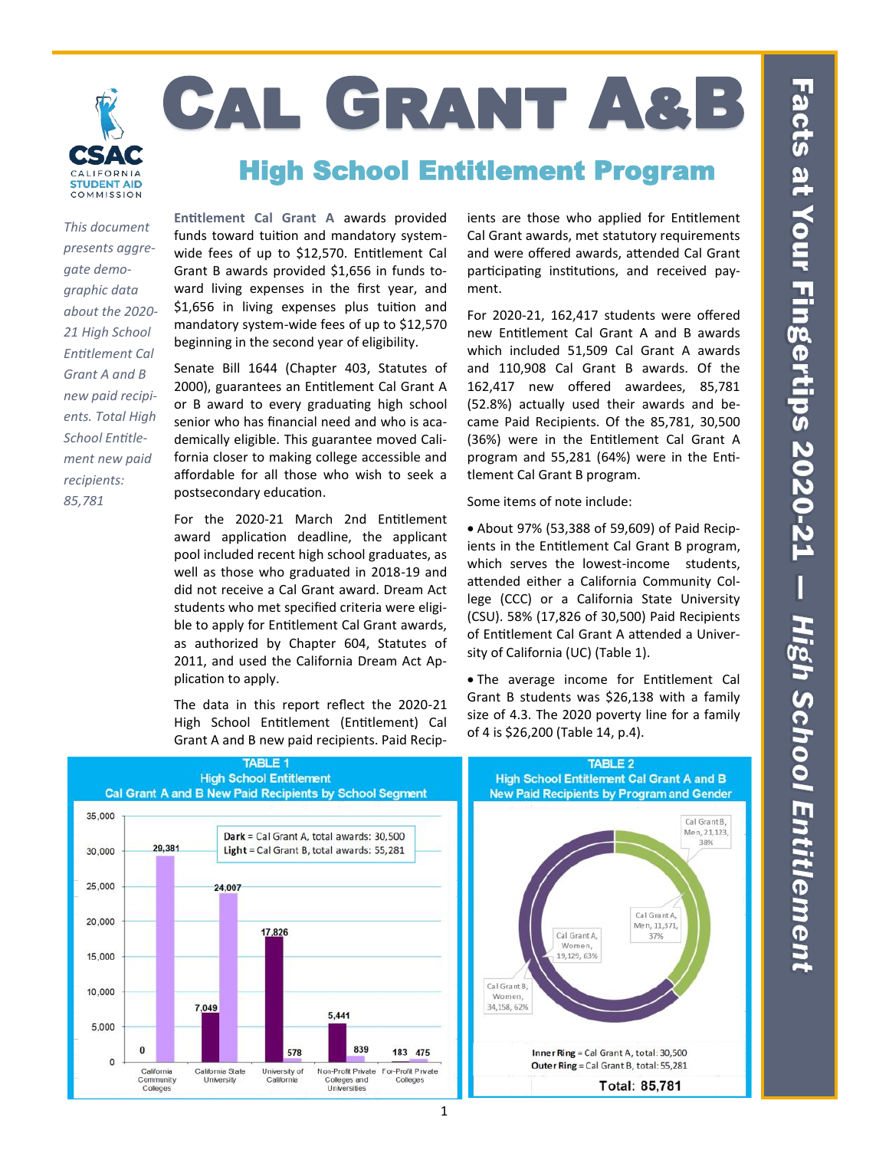

# Cal Grant A&B

## High School Entitlement Program

*This document presents aggregate demographic data about the 2020- 21 High School Entitlement Cal Grant A and B new paid recipients. Total High School Entitlement new paid recipients: 85,781*

**Entitlement Cal Grant A** awards provided funds toward tuition and mandatory systemwide fees of up to \$12,570. Entitlement Cal Grant B awards provided \$1,656 in funds toward living expenses in the first year, and \$1,656 in living expenses plus tuition and mandatory system-wide fees of up to \$12,570 beginning in the second year of eligibility.

Senate Bill 1644 (Chapter 403, Statutes of 2000), guarantees an Entitlement Cal Grant A or B award to every graduating high school senior who has financial need and who is academically eligible. This guarantee moved California closer to making college accessible and affordable for all those who wish to seek a postsecondary education.

For the 2020-21 March 2nd Entitlement award application deadline, the applicant pool included recent high school graduates, as well as those who graduated in 2018-19 and did not receive a Cal Grant award. Dream Act students who met specified criteria were eligible to apply for Entitlement Cal Grant awards, as authorized by Chapter 604, Statutes of 2011, and used the California Dream Act Application to apply.

The data in this report reflect the 2020-21 High School Entitlement (Entitlement) Cal Grant A and B new paid recipients. Paid Recipients are those who applied for Entitlement Cal Grant awards, met statutory requirements and were offered awards, attended Cal Grant participating institutions, and received payment.

For 2020-21, 162,417 students were offered new Entitlement Cal Grant A and B awards which included 51,509 Cal Grant A awards and 110,908 Cal Grant B awards. Of the 162,417 new offered awardees, 85,781 (52.8%) actually used their awards and became Paid Recipients. Of the 85,781, 30,500 (36%) were in the Entitlement Cal Grant A program and 55,281 (64%) were in the Entitlement Cal Grant B program.

Some items of note include:

• About 97% (53,388 of 59,609) of Paid Recipients in the Entitlement Cal Grant B program, which serves the lowest-income students, attended either a California Community College (CCC) or a California State University (CSU). 58% (17,826 of 30,500) Paid Recipients of Entitlement Cal Grant A attended a University of California (UC) (Table 1).

• The average income for Entitlement Cal Grant B students was \$26,138 with a family size of 4.3. The 2020 poverty line for a family of 4 is \$26,200 (Table 14, p.4).



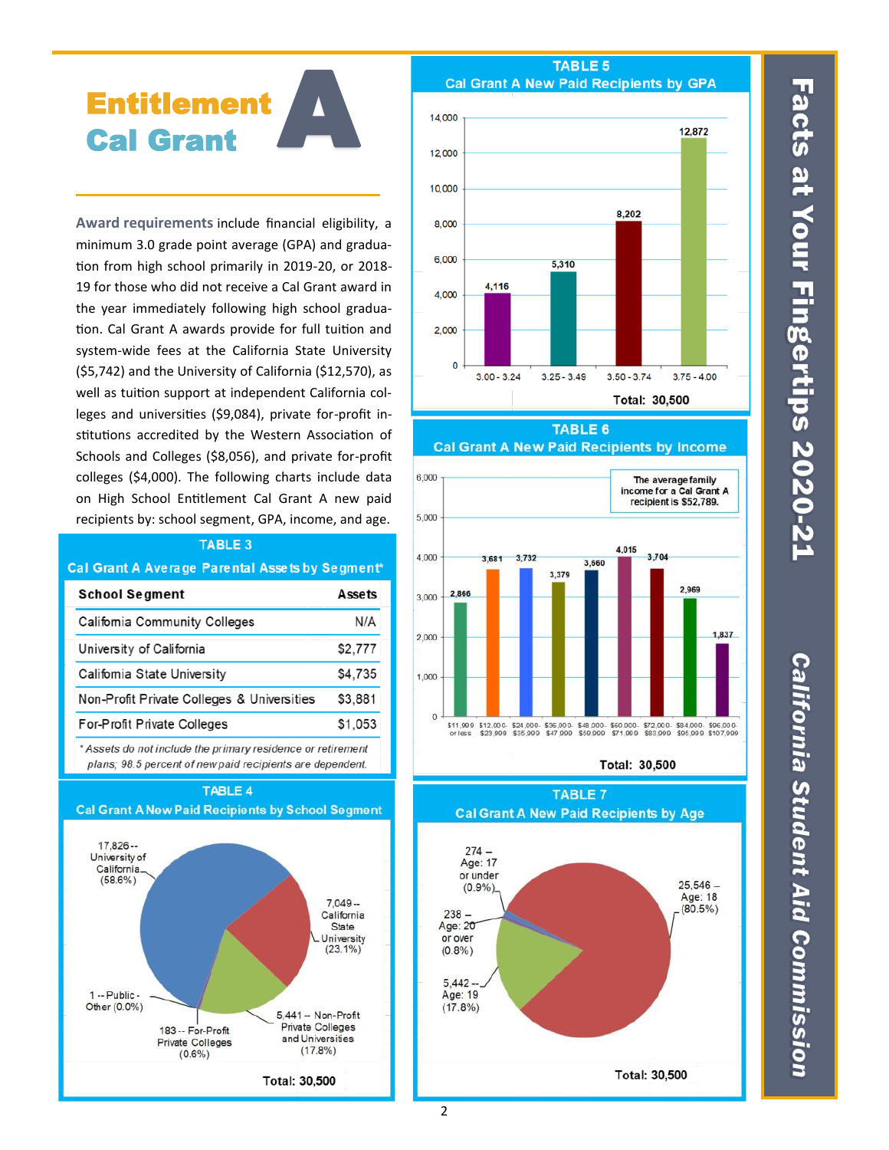# A Entitlement Cal Grant

**Award requirements** include financial eligibility, a minimum 3.0 grade point average (GPA) and graduation from high school primarily in 2019-20, or 2018- 19 for those who did not receive a Cal Grant award in the year immediately following high school graduation. Cal Grant A awards provide for full tuition and system-wide fees at the California State University (\$5,742) and the University of California (\$12,570), as well as tuition support at independent California colleges and universities (\$9,084), private for-profit institutions accredited by the Western Association of Schools and Colleges (\$8,056), and private for-profit colleges (\$4,000). The following charts include data on High School Entitlement Cal Grant A new paid recipients by: school segment, GPA, income, and age.

|                                               | TABLE 3 |  |  |  |
|-----------------------------------------------|---------|--|--|--|
| al Grant A Average Parental Assets by Segment |         |  |  |  |
| <b>School Segment</b>                         | Assets  |  |  |  |
| Califomia Community Colleges                  | N/A     |  |  |  |
| University of California                      | \$2,777 |  |  |  |
| Califomia State University                    | \$4,735 |  |  |  |
| Non-Profit Private Colleges & Universities    | \$3,881 |  |  |  |
| <b>For-Profit Private Colleges</b>            | \$1,053 |  |  |  |

 $\overline{c}$ 

\* Assets do not include the primary residence or retirement plans; 98.5 percent of new paid recipients are dependent.

TABLE 4



### TABLE<sub>5</sub> **Cal Grant A New Paid Recipients by GPA**



**TABLE 6** 



Total: 30,500

**TABLE 7** 



# Facts at Your Fingertips 2020-21

**California Student Aid Commission**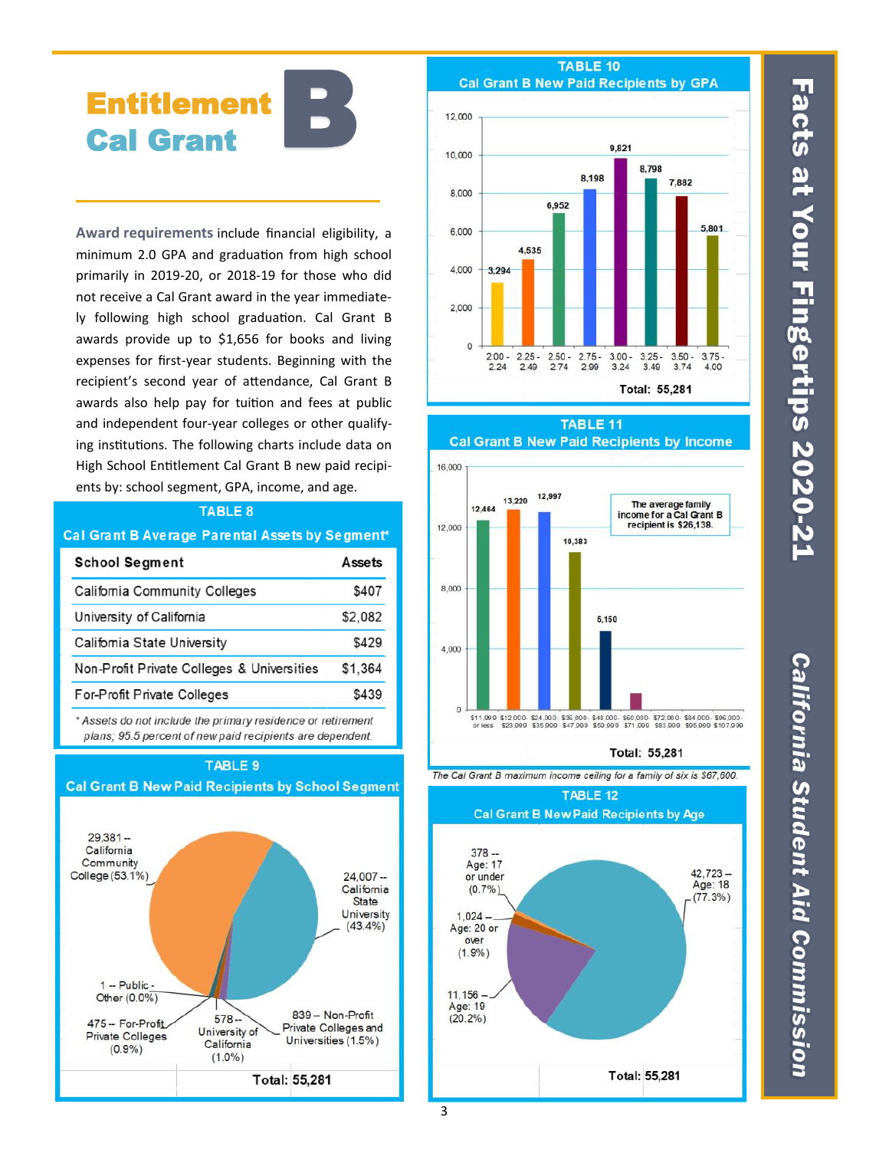# **Entitlement Cal Grant**

Award requirements include financial eligibility, a minimum 2.0 GPA and graduation from high school primarily in 2019-20, or 2018-19 for those who did not receive a Cal Grant award in the year immediately following high school graduation. Cal Grant B awards provide up to \$1,656 for books and living expenses for first-year students. Beginning with the recipient's second year of attendance, Cal Grant B awards also help pay for tuition and fees at public and independent four-year colleges or other qualifying institutions. The following charts include data on High School Entitlement Cal Grant B new paid recipients by: school segment, GPA, income, and age.

### **TABLE 8**

### Cal Grant B Average Parental Assets by Segment\*

| <b>School Segment</b>                      | Assets  |
|--------------------------------------------|---------|
| <b>Califomia Community Colleges</b>        | \$407   |
| University of California                   | \$2,082 |
| Califomia State University                 | \$429   |
| Non-Profit Private Colleges & Universities | \$1,364 |
| For-Profit Private Colleges                | \$439   |
|                                            |         |

\* Assets do not include the primary residence or retirement plans; 95.5 percent of new paid recipients are dependent.

**TABLE 9** 

**Cal Grant B New Paid Recipients by School Segment** 

### $29.381 -$ California Community College (53.1%)  $24.007 -$ California **State** University  $(43.4\%)$ 1 -- Public -Other (0.0%) 839 -- Non-Profit 578 475 -- For-Profit Private Colleges and University of **Private Colleges** Universities (1.5%) California  $(0.9\%)$  $(1.0\%)$ Total: 55,281

### TABLE 10 **Cal Grant B New Paid Recipients by GPA**



TABLE<sub>11</sub> **Cal Grant B New Paid Recipients by Income** 



### Total: 55.281



**TABLE 12 Cal Grant B New Paid Recipients by Age** 



# **Facts at Your Fingertips 2020-21**

**California Student Aid Commission**